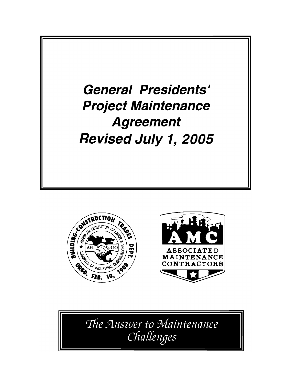



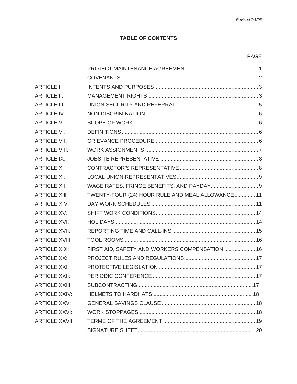# **TABLE OF CONTENTS**

# PAGE

| <b>ARTICLE I:</b>     |                                                  |  |
|-----------------------|--------------------------------------------------|--|
| <b>ARTICLE II:</b>    |                                                  |  |
| <b>ARTICLE III:</b>   |                                                  |  |
| <b>ARTICLE IV:</b>    |                                                  |  |
| <b>ARTICLE V:</b>     |                                                  |  |
| <b>ARTICLE VI:</b>    |                                                  |  |
| <b>ARTICLE VII:</b>   |                                                  |  |
| <b>ARTICLE VIII:</b>  |                                                  |  |
| <b>ARTICLE IX:</b>    |                                                  |  |
| <b>ARTICLE X:</b>     |                                                  |  |
| <b>ARTICLE XI:</b>    |                                                  |  |
| <b>ARTICLE XII:</b>   |                                                  |  |
| <b>ARTICLE XIII:</b>  | TWENTY-FOUR (24) HOUR RULE AND MEAL ALLOWANCE 11 |  |
| <b>ARTICLE XIV:</b>   |                                                  |  |
| <b>ARTICLE XV:</b>    |                                                  |  |
| <b>ARTICLE XVI:</b>   |                                                  |  |
| <b>ARTICLE XVII:</b>  |                                                  |  |
| <b>ARTICLE XVIII:</b> |                                                  |  |
| <b>ARTICLE XIX:</b>   | FIRST AID, SAFETY AND WORKERS COMPENSATION  16   |  |
| <b>ARTICLE XX:</b>    |                                                  |  |
| <b>ARTICLE XXI:</b>   |                                                  |  |
| <b>ARTICLE XXII:</b>  |                                                  |  |
| <b>ARTICLE XXIII:</b> |                                                  |  |
| <b>ARTICLE XXIV:</b>  |                                                  |  |
| <b>ARTICLE XXV:</b>   |                                                  |  |
| <b>ARTICLE XXVI:</b>  |                                                  |  |
| <b>ARTICLE XXVII:</b> |                                                  |  |
|                       |                                                  |  |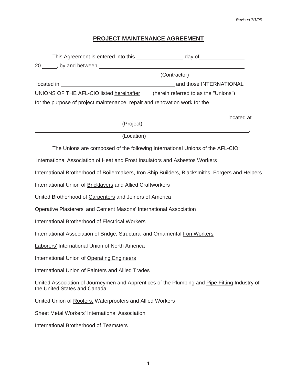#### *Revised 7/1/05*

# **PROJECT MAINTENANCE AGREEMENT**

|                                                                             | This Agreement is entered into this ______________________ day of ______________                |
|-----------------------------------------------------------------------------|-------------------------------------------------------------------------------------------------|
|                                                                             |                                                                                                 |
|                                                                             | (Contractor)                                                                                    |
|                                                                             |                                                                                                 |
|                                                                             | UNIONS OF THE AFL-CIO listed hereinafter (herein referred to as the "Unions")                   |
| for the purpose of project maintenance, repair and renovation work for the  |                                                                                                 |
|                                                                             | discussion of the contract of the located at                                                    |
|                                                                             | (Project)                                                                                       |
|                                                                             | (Location)                                                                                      |
|                                                                             | The Unions are composed of the following International Unions of the AFL-CIO:                   |
| International Association of Heat and Frost Insulators and Asbestos Workers |                                                                                                 |
|                                                                             | International Brotherhood of Boilermakers, Iron Ship Builders, Blacksmiths, Forgers and Helpers |
| International Union of Bricklayers and Allied Craftworkers                  |                                                                                                 |
| United Brotherhood of Carpenters and Joiners of America                     |                                                                                                 |
| Operative Plasterers' and Cement Masons' International Association          |                                                                                                 |
| International Brotherhood of Electrical Workers                             |                                                                                                 |
| International Association of Bridge, Structural and Ornamental Iron Workers |                                                                                                 |
| <b>Laborers' International Union of North America</b>                       |                                                                                                 |
| International Union of Operating Engineers                                  |                                                                                                 |
| International Union of Painters and Allied Trades                           |                                                                                                 |
| the United States and Canada                                                | United Association of Journeymen and Apprentices of the Plumbing and Pipe Fitting Industry of   |
| United Union of Roofers, Waterproofers and Allied Workers                   |                                                                                                 |
| <b>Sheet Metal Workers' International Association</b>                       |                                                                                                 |
| International Brotherhood of Teamsters                                      |                                                                                                 |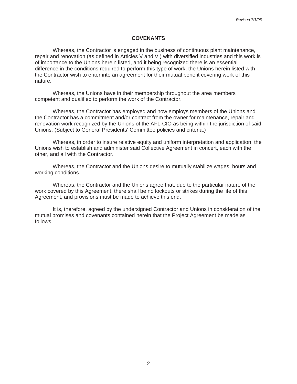## **COVENANTS**

Whereas, the Contractor is engaged in the business of continuous plant maintenance, repair and renovation (as defined in Articles V and VI) with diversified industries and this work is of importance to the Unions herein listed, and it being recognized there is an essential difference in the conditions required to perform this type of work, the Unions herein listed with the Contractor wish to enter into an agreement for their mutual benefit covering work of this nature.

Whereas, the Unions have in their membership throughout the area members competent and qualified to perform the work of the Contractor.

Whereas, the Contractor has employed and now employs members of the Unions and the Contractor has a commitment and/or contract from the owner for maintenance, repair and renovation work recognized by the Unions of the AFL-CIO as being within the jurisdiction of said Unions. (Subject to General Presidents' Committee policies and criteria.)

Whereas, in order to insure relative equity and uniform interpretation and application, the Unions wish to establish and administer said Collective Agreement in concert, each with the other, and all with the Contractor.

Whereas, the Contractor and the Unions desire to mutually stabilize wages, hours and working conditions.

Whereas, the Contractor and the Unions agree that, due to the particular nature of the work covered by this Agreement, there shall be no lockouts or strikes during the life of this Agreement, and provisions must be made to achieve this end.

It is, therefore, agreed by the undersigned Contractor and Unions in consideration of the mutual promises and covenants contained herein that the Project Agreement be made as follows: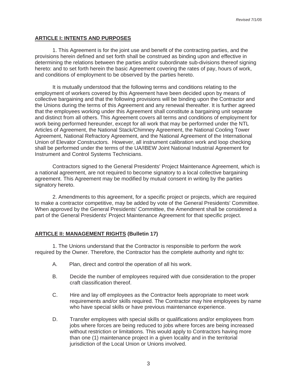# **ARTICLE I: INTENTS AND PURPOSES**

1. This Agreement is for the joint use and benefit of the contracting parties, and the provisions herein defined and set forth shall be construed as binding upon and effective in determining the relations between the parties and/or subordinate sub-divisions thereof signing hereto: and to set forth herein the basic Agreement covering the rates of pay, hours of work, and conditions of employment to be observed by the parties hereto.

It is mutually understood that the following terms and conditions relating to the employment of workers covered by this Agreement have been decided upon by means of collective bargaining and that the following provisions will be binding upon the Contractor and the Unions during the terms of this Agreement and any renewal thereafter. It is further agreed that the employees working under this Agreement shall constitute a bargaining unit separate and distinct from all others. This Agreement covers all terms and conditions of employment for work being performed hereunder, except for all work that may be performed under the NTL Articles of Agreement, the National Stack/Chimney Agreement, the National Cooling Tower Agreement, National Refractory Agreement, and the National Agreement of the International Union of Elevator Constructors. However, all instrument calibration work and loop checking shall be performed under the terms of the UA/IBEW Joint National Industrial Agreement for Instrument and Control Systems Technicians.

Contractors signed to the General Presidents' Project Maintenance Agreement, which is a national agreement, are not required to become signatory to a local collective bargaining agreement. This Agreement may be modified by mutual consent in writing by the parties signatory hereto.

2. Amendments to this agreement, for a specific project or projects, which are required to make a contractor competitive, may be added by vote of the General Presidents' Committee. When approved by the General Presidents' Committee, the Amendment shall be considered a part of the General Presidents' Project Maintenance Agreement for that specific project.

# **ARTICLE II: MANAGEMENT RIGHTS (Bulletin 17)**

1. The Unions understand that the Contractor is responsible to perform the work required by the Owner. Therefore, the Contractor has the complete authority and right to:

- A. Plan, direct and control the operation of all his work.
- B. Decide the number of employees required with due consideration to the proper craft classification thereof.
- C. Hire and lay off employees as the Contractor feels appropriate to meet work requirements and/or skills required. The Contractor may hire employees by name who have special skills or have previous maintenance experience.
- D. Transfer employees with special skills or qualifications and/or employees from jobs where forces are being reduced to jobs where forces are being increased without restriction or limitations. This would apply to Contractors having more than one (1) maintenance project in a given locality and in the territorial jurisdiction of the Local Union or Unions involved.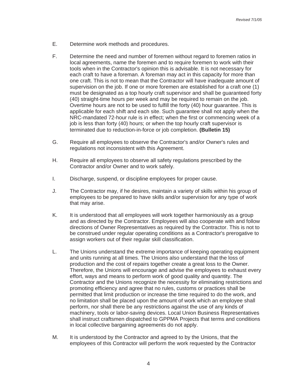- E. Determine work methods and procedures.
- F. Determine the need and number of foremen without regard to foremen ratios in local agreements, name the foremen and to require foremen to work with their tools when in the Contractor's opinion this is advisable. It is not necessary for each craft to have a foreman. A foreman may act in this capacity for more than one craft. This is not to mean that the Contractor will have inadequate amount of supervision on the job. If one or more foremen are established for a craft one (1) must be designated as a top hourly craft supervisor and shall be guaranteed forty (40) straight-time hours per week and may be required to remain on the job. Overtime hours are not to be used to fulfill the forty (40) hour guarantee. This is applicable for each shift and each site. Such guarantee shall not apply when the NRC-mandated 72-hour rule is in effect; when the first or commencing week of a job is less than forty (40) hours; or when the top hourly craft supervisor is terminated due to reduction-in-force or job completion. **(Bulletin 15)**
- G. Require all employees to observe the Contractor's and/or Owner's rules and regulations not inconsistent with this Agreement.
- H. Require all employees to observe all safety regulations prescribed by the Contractor and/or Owner and to work safely.
- I. Discharge, suspend, or discipline employees for proper cause.
- J. The Contractor may, if he desires, maintain a variety of skills within his group of employees to be prepared to have skills and/or supervision for any type of work that may arise.
- K. It is understood that all employees will work together harmoniously as a group and as directed by the Contractor. Employees will also cooperate with and follow directions of Owner Representatives as required by the Contractor. This is not to be construed under regular operating conditions as a Contractor's prerogative to assign workers out of their regular skill classification.
- L. The Unions understand the extreme importance of keeping operating equipment and units running at all times. The Unions also understand that the loss of production and the cost of repairs together create a great loss to the Owner. Therefore, the Unions will encourage and advise the employees to exhaust every effort, ways and means to perform work of good quality and quantity. The Contractor and the Unions recognize the necessity for eliminating restrictions and promoting efficiency and agree that no rules, customs or practices shall be permitted that limit production or increase the time required to do the work, and no limitation shall be placed upon the amount of work which an employee shall perform, nor shall there be any restrictions against the use of any kinds of machinery, tools or labor-saving devices. Local Union Business Representatives shall instruct craftsmen dispatched to GPPMA Projects that terms and conditions in local collective bargaining agreements do not apply.
- M. It is understood by the Contractor and agreed to by the Unions, that the employees of this Contractor will perform the work requested by the Contractor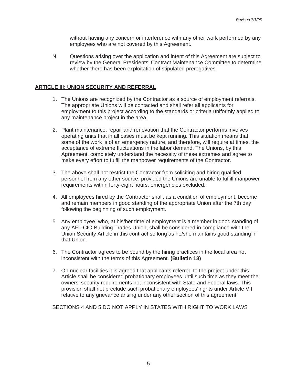without having any concern or interference with any other work performed by any employees who are not covered by this Agreement.

N. Questions arising over the application and intent of this Agreement are subject to review by the General Presidents' Contract Maintenance Committee to determine whether there has been exploitation of stipulated prerogatives.

#### **ARTICLE III: UNION SECURITY AND REFERRAL**

- 1. The Unions are recognized by the Contractor as a source of employment referrals. The appropriate Unions will be contacted and shall refer all applicants for employment to this project according to the standards or criteria uniformly applied to any maintenance project in the area.
- 2. Plant maintenance, repair and renovation that the Contractor performs involves operating units that in all cases must be kept running. This situation means that some of the work is of an emergency nature, and therefore, will require at times, the acceptance of extreme fluctuations in the labor demand. The Unions, by this Agreement, completely understand the necessity of these extremes and agree to make every effort to fulfill the manpower requirements of the Contractor.
- 3. The above shall not restrict the Contractor from soliciting and hiring qualified personnel from any other source, provided the Unions are unable to fulfill manpower requirements within forty-eight hours, emergencies excluded.
- 4. All employees hired by the Contractor shall, as a condition of employment, become and remain members in good standing of the appropriate Union after the 7th day following the beginning of such employment.
- 5. Any employee, who, at his/her time of employment is a member in good standing of any AFL-CIO Building Trades Union, shall be considered in compliance with the Union Security Article in this contract so long as he/she maintains good standing in that Union.
- 6. The Contractor agrees to be bound by the hiring practices in the local area not inconsistent with the terms of this Agreement. **(Bulletin 13)**
- 7. On nuclear facilities it is agreed that applicants referred to the project under this Article shall be considered probationary employees until such time as they meet the owners' security requirements not inconsistent with State and Federal laws. This provision shall not preclude such probationary employees' rights under Article VII relative to any grievance arising under any other section of this agreement.

SECTIONS 4 AND 5 DO NOT APPLY IN STATES WITH RIGHT TO WORK LAWS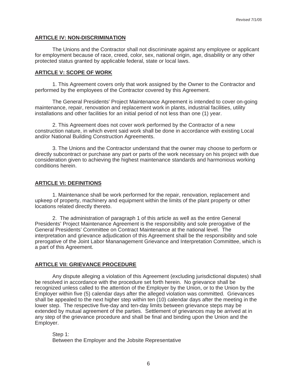#### **ARTICLE IV: NON-DISCRIMINATION**

The Unions and the Contractor shall not discriminate against any employee or applicant for employment because of race, creed, color, sex, national origin, age, disability or any other protected status granted by applicable federal, state or local laws.

### **ARTICLE V: SCOPE OF WORK**

1. This Agreement covers only that work assigned by the Owner to the Contractor and performed by the employees of the Contractor covered by this Agreement.

The General Presidents' Project Maintenance Agreement is intended to cover on-going maintenance, repair, renovation and replacement work in plants, industrial facilities, utility installations and other facilities for an initial period of not less than one (1) year.

2. This Agreement does not cover work performed by the Contractor of a new construction nature, in which event said work shall be done in accordance with existing Local and/or National Building Construction Agreements.

3. The Unions and the Contractor understand that the owner may choose to perform or directly subcontract or purchase any part or parts of the work necessary on his project with due consideration given to achieving the highest maintenance standards and harmonious working conditions herein.

# **ARTICLE VI: DEFINITIONS**

1. Maintenance shall be work performed for the repair, renovation, replacement and upkeep of property, machinery and equipment within the limits of the plant property or other locations related directly thereto.

2. The administration of paragraph 1 of this article as well as the entire General Presidents' Project Maintenance Agreement is the responsibility and sole prerogative of the General Presidents' Committee on Contract Maintenance at the national level. The interpretation and grievance adjudication of this Agreement shall be the responsibility and sole prerogative of the Joint Labor Mananagement Grievance and Interpretation Committee, which is a part of this Agreement.

# **ARTICLE VII: GRIEVANCE PROCEDURE**

Any dispute alleging a violation of this Agreement (excluding jurisdictional disputes) shall be resolved in accordance with the procedure set forth herein. No grievance shall be recognized unless called to the attention of the Employer by the Union, or to the Union by the Employer within five (5) calendar days after the alleged violation was committed. Grievances shall be appealed to the next higher step within ten (10) calendar days after the meeting in the lower step. The respective five-day and ten-day limits between grievance steps may be extended by mutual agreement of the parties. Settlement of grievances may be arrived at in any step of the grievance procedure and shall be final and binding upon the Union and the Employer.

Step 1: Between the Employer and the Jobsite Representative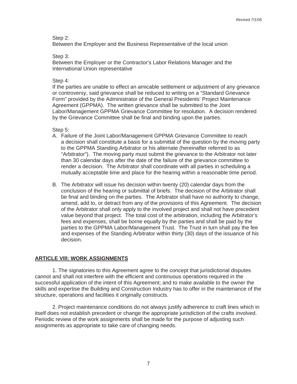#### Step 2:

Between the Employer and the Business Representative of the local union

#### Step 3:

Between the Employer or the Contractor's Labor Relations Manager and the International Union representative

#### Step 4:

If the parties are unable to effect an amicable settlement or adjustment of any grievance or controversy, said grievance shall be reduced to writing on a "Standard Grievance Form" provided by the Administrator of the General Presidents' Project Maintenance Agreement (GPPMA). The written grievance shall be submitted to the Joint Labor/Management GPPMA Grievance Committee for resolution. A decision rendered by the Grievance Committee shall be final and binding upon the parties.

Step 5:

- A. Failure of the Joint Labor/Management GPPMA Grievance Committee to reach a decision shall constitute a basis for a submittal of the question by the moving party to the GPPMA Standing Arbitrator or his alternate (hereinafter referred to as "Arbitrator"). The moving party must submit the grievance to the Arbitrator not later than 30 calendar days after the date of the failure of the grievance committee to render a decision. The Arbitrator shall coordinate with all parties in scheduling a mutually acceptable time and place for the hearing within a reasonable time period.
- B. The Arbitrator will issue his decision within twenty (20) calendar days from the conclusion of the hearing or submittal of briefs. The decision of the Arbitrator shall be final and binding on the parties. The Arbitrator shall have no authority to change, amend, add to, or detract from any of the provisions of this Agreement. The decision of the Arbitrator shall only apply to the involved project and shall not have precedent value beyond that project. The total cost of the arbitration, including the Arbitrator's fees and expenses, shall be borne equally by the parties and shall be paid by the parties to the GPPMA Labor/Management Trust. The Trust in turn shall pay the fee and expenses of the Standing Arbitrator within thirty (30) days of the issuance of his decision.

# **ARTICLE VIll: WORK ASSIGNMENTS**

1. The signatories to this Agreement agree to the concept that jurisdictional disputes cannot and shall not interfere with the efficient and continuous operations required in the successful application of the intent of this Agreement; and to make available to the owner the skills and expertise the Building and Construction Industry has to offer in the maintenance of the structure, operations and facilities it originally constructs.

2. Project maintenance conditions do not always justify adherence to craft lines which in itself does not establish precedent or change the appropriate jurisdiction of the crafts involved. Periodic review of the work assignments shall be made for the purpose of adjusting such assignments as appropriate to take care of changing needs.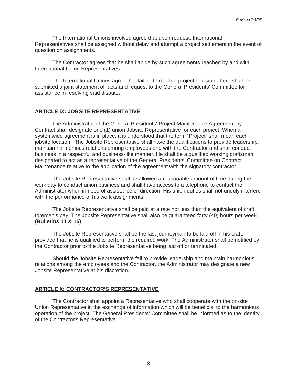The International Unions involved agree that upon request, International Representatives shall be assigned without delay and attempt a project settlement in the event of question on assignments.

The Contractor agrees that he shall abide by such agreements reached by and with International Union Representatives.

The International Unions agree that failing to reach a project decision, there shall be submitted a joint statement of facts and request to the General Presidents' Committee for assistance in resolving said dispute.

#### **ARTICLE IX: JOBSITE REPRESENTATIVE**

The Administrator of the General Presidents' Project Maintenance Agreement by Contract shall designate one (1) union Jobsite Representative for each project. When a systemwide agreement is in place, it is understood that the term "Project" shall mean each jobsite location. The Jobsite Representative shall have the qualifications to provide leadership, maintain harmonious relations among employees and with the Contractor and shall conduct business in a respectful and business-like manner. He shall be a qualified working craftsman, designated to act as a representative of the General Presidents' Committee on Contract Maintenance relative to the application of the agreement with the signatory contractor.

The Jobsite Representative shall be allowed a reasonable amount of time during the work day to conduct union business and shall have access to a telephone to contact the Administrator when in need of assistance or direction. His union duties shall not unduly interfere with the performance of his work assignments.

The Jobsite Representative shall be paid at a rate not less than the equivalent of craft foremen's pay. The Jobsite Representative shall also be guaranteed forty (40) hours per week. **(Bulletins 11 & 15)**

The Jobsite Representative shall be the last journeyman to be laid off in his craft, provided that he is qualified to perform the required work. The Administrator shall be notified by the Contractor prior to the Jobsite Representative being laid off or terminated.

Should the Jobsite Representative fail to provide leadership and maintain harmonious relations among the employees and the Contractor, the Administrator may designate a new Jobsite Representative at his discretion.

#### **ARTICLE X: CONTRACTOR'S REPRESENTATIVE**

The Contractor shall appoint a Representative who shall cooperate with the on-site Union Representative in the exchange of information which will be beneficial to the harmonious operation of the project. The General Presidents' Committee shall be informed as to the identity of the Contractor's Representative.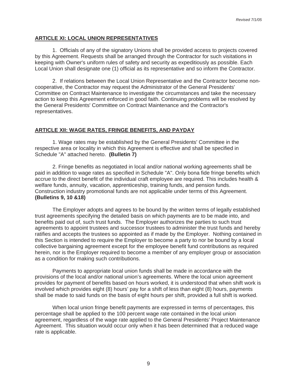# **ARTICLE XI: LOCAL UNION REPRESENTATIVES**

1. Officials of any of the signatory Unions shall be provided access to projects covered by this Agreement. Requests shall be arranged through the Contractor for such visitations in keeping with Owner's uniform rules of safety and security as expeditiously as possible. Each Local Union shall designate one (1) official as its representative and so inform the Contractor.

2. If relations between the Local Union Representative and the Contractor become noncooperative, the Contractor may request the Administrator of the General Presidents' Committee on Contract Maintenance to investigate the circumstances and take the necessary action to keep this Agreement enforced in good faith. Continuing problems will be resolved by the General Presidents' Committee on Contract Maintenance and the Contractor's representatives.

# **ARTICLE XII: WAGE RATES, FRINGE BENEFITS, AND PAYDAY**

1. Wage rates may be established by the General Presidents' Committee in the respective area or locality in which this Agreement is effective and shall be specified in Schedule "A" attached hereto. **(Bulletin 7)**

2. Fringe benefits as negotiated in local and/or national working agreements shall be paid in addition to wage rates as specified in Schedule "A". Only bona fide fringe benefits which accrue to the direct benefit of the individual craft employee are required. This includes health & welfare funds, annuity, vacation, apprenticeship, training funds, and pension funds. Construction industry promotional funds are not applicable under terms of this Agreement. **(Bulletins 9, 10 &18)**

The Employer adopts and agrees to be bound by the written terms of legally established trust agreements specifying the detailed basis on which payments are to be made into, and benefits paid out of, such trust funds. The Employer authorizes the parties to such trust agreements to appoint trustees and successor trustees to administer the trust funds and hereby ratifies and accepts the trustees so appointed as if made by the Employer. Nothing contained in this Section is intended to require the Employer to become a party to nor be bound by a local collective bargaining agreement except for the employee benefit fund contributions as required herein, nor is the Employer required to become a member of any employer group or association as a condition for making such contributions.

Payments to appropriate local union funds shall be made in accordance with the provisions of the local and/or national union's agreements. Where the local union agreement provides for payment of benefits based on hours worked, it is understood that when shift work is involved which provides eight (8) hours' pay for a shift of less than eight (8) hours, payments shall be made to said funds on the basis of eight hours per shift, provided a full shift is worked.

When local union fringe benefit payments are expressed in terms of percentages, this percentage shall be applied to the 100 percent wage rate contained in the local union agreement, regardless of the wage rate applied to the General Presidents' Project Maintenance Agreement. This situation would occur only when it has been determined that a reduced wage rate is applicable.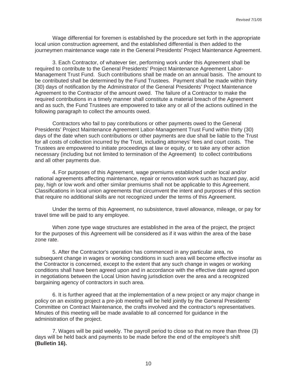Wage differential for foremen is established by the procedure set forth in the appropriate local union construction agreement, and the established differential is then added to the journeymen maintenance wage rate in the General Presidents' Project Maintenance Agreement.

3. Each Contractor, of whatever tier, performing work under this Agreement shall be required to contribute to the General Presidents' Project Maintenance Agreement Labor-Management Trust Fund. Such contributions shall be made on an annual basis. The amount to be contributed shall be determined by the Fund Trustees. Payment shall be made within thirty (30) days of notification by the Administrator of the General Presidents' Project Maintenance Agreement to the Contractor of the amount owed. The failure of a Contractor to make the required contributions in a timely manner shall constitute a material breach of the Agreement and as such, the Fund Trustees are empowered to take any or all of the actions outlined in the following paragraph to collect the amounts owed.

Contractors who fail to pay contributions or other payments owed to the General Presidents' Project Maintenance Agreement Labor-Management Trust Fund within thirty (30) days of the date when such contributions or other payments are due shall be liable to the Trust for all costs of collection incurred by the Trust, including attorneys' fees and court costs. The Trustees are empowered to initiate proceedings at law or equity, or to take any other action necessary (including but not limited to termination of the Agreement) to collect contributions and all other payments due.

4. For purposes of this Agreement, wage premiums established under local and/or national agreements affecting maintenance, repair or renovation work such as hazard pay, acid pay, high or low work and other similar premiums shall not be applicable to this Agreement. Classifications in local union agreements that circumvent the intent and purposes of this section that require no additional skills are not recognized under the terms of this Agreement.

Under the terms of this Agreement, no subsistence, travel allowance, mileage, or pay for travel time will be paid to any employee.

When zone type wage structures are established in the area of the project, the project for the purposes of this Agreement will be considered as if it was within the area of the base zone rate.

5. After the Contractor's operation has commenced in any particular area, no subsequent change in wages or working conditions in such area will become effective insofar as the Contractor is concerned, except to the extent that any such change in wages or working conditions shall have been agreed upon and in accordance with the effective date agreed upon in negotiations between the Local Union having jurisdiction over the area and a recognized bargaining agency of contractors in such area.

6. It is further agreed that at the implementation of a new project or any major change in policy on an existing project a pre-job meeting will be held jointly by the General Presidents' Committee on Contract Maintenance, the crafts involved and the contractor's representatives. Minutes of this meeting will be made available to all concerned for guidance in the administration of the project.

7. Wages will be paid weekly. The payroll period to close so that no more than three (3) days will be held back and payments to be made before the end of the employee's shift **(Bulletin 16).**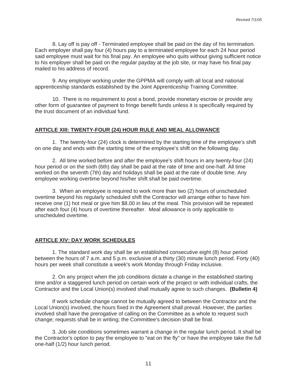8. Lay off is pay off - Terminated employee shall be paid on the day of his termination. Each employer shall pay four (4) hours pay to a terminated employee for each 24 hour period said employee must wait for his final pay. An employee who quits without giving sufficient notice to his employer shall be paid on the regular payday at the job site, or may have his final pay mailed to his address of record.

9. Any employer working under the GPPMA will comply with all local and national apprenticeship standards established by the Joint Apprenticeship Training Committee.

10. There is no requirement to post a bond, provide monetary escrow or provide any other form of guarantee of payment to fringe benefit funds unless it is specifically required by the trust document of an individual fund.

## **ARTICLE XIII: TWENTY-FOUR (24) HOUR RULE AND MEAL ALLOWANCE**

1. The twenty-four (24) clock is determined by the starting time of the employee's shift on one day and ends with the starting time of the employee's shift on the following day.

2. All time worked before and after the employee's shift hours in any twenty-four (24) hour period or on the sixth (6th) day shall be paid at the rate of time and one-half. All time worked on the seventh (7th) day and holidays shall be paid at the rate of double time. Any employee working overtime beyond his/her shift shall be paid overtime.

3. When an employee is required to work more than two (2) hours of unscheduled overtime beyond his regularly scheduled shift the Contractor will arrange either to have him receive one (1) hot meal or give him \$8.00 in lieu of the meal. This provision will be repeated after each four (4) hours of overtime thereafter. Meal allowance is only applicable to unscheduled overtime.

#### **ARTICLE XIV: DAY WORK SCHEDULES**

1. The standard work day shall be an established consecutive eight (8) hour period between the hours of 7 a.m. and 5 p.m. exclusive of a thirty (30) minute lunch period. Forty (40) hours per week shall constitute a week's work Monday through Friday inclusive.

2. On any project when the job conditions dictate a change in the established starting time and/or a staggered lunch period on certain work of the project or with individual crafts, the Contractor and the Local Union(s) involved shall mutually agree to such changes. **(Bulletin 4)**

If work schedule change cannot be mutually agreed to between the Contractor and the Local Union(s) involved, the hours fixed in the Agreement shall prevail. However, the parties involved shall have the prerogative of calling on the Committee as a whole to request such change; requests shall be in writing; the Committee's decision shall be final.

3. Job site conditions sometimes warrant a change in the regular lunch period. It shall be the Contractor's option to pay the employee to "eat on the fly" or have the employee take the full one-half (1/2) hour lunch period.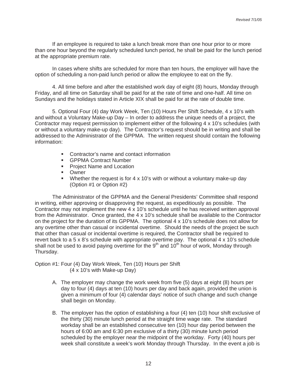If an employee is required to take a lunch break more than one hour prior to or more than one hour beyond the regularly scheduled lunch period, he shall be paid for the lunch period at the appropriate premium rate.

In cases where shifts are scheduled for more than ten hours, the employer will have the option of scheduling a non-paid lunch period or allow the employee to eat on the fly.

4. All time before and after the established work day of eight (8) hours, Monday through Friday, and all time on Saturday shall be paid for at the rate of time and one-half. All time on Sundays and the holidays stated in Article XIX shall be paid for at the rate of double time.

5. Optional Four (4) day Work Week, Ten (10) Hours Per Shift Schedule, 4 x 10's with and without a Voluntary Make-up Day – In order to address the unique needs of a project, the Contractor may request permission to implement either of the following 4 x 10's schedules (with or without a voluntary make-up day). The Contractor's request should be in writing and shall be addressed to the Administrator of the GPPMA. The written request should contain the following information:

- **Contractor's name and contact information**
- **GPPMA Contract Number**
- **Project Name and Location**
- **Dwner**
- **Whether the request is for 4 x 10's with or without a voluntary make-up day** (Option #1 or Option #2)

The Administrator of the GPPMA and the General Presidents' Committee shall respond in writing, either approving or disapproving the request, as expeditiously as possible. The Contractor may not implement the new 4 x 10's schedule until he has received written approval from the Administrator. Once granted, the 4 x 10's schedule shall be available to the Contractor on the project for the duration of its GPPMA. The optional 4 x 10's schedule does not allow for any overtime other than casual or incidental overtime. Should the needs of the project be such that other than casual or incidental overtime is required, the Contractor shall be required to revert back to a 5 x 8's schedule with appropriate overtime pay. The optional 4 x 10's schedule shall not be used to avoid paying overtime for the  $9<sup>th</sup>$  and  $10<sup>th</sup>$  hour of work, Monday through Thursday.

Option #1: Four (4) Day Work Week, Ten (10) Hours per Shift (4 x 10's with Make-up Day)

- A. The employer may change the work week from five (5) days at eight (8) hours per day to four (4) days at ten (10) hours per day and back again, provided the union is given a minimum of four (4) calendar days' notice of such change and such change shall begin on Monday.
- B. The employer has the option of establishing a four (4) ten (10) hour shift exclusive of the thirty (30) minute lunch period at the straight time wage rate. The standard workday shall be an established consecutive ten (10) hour day period between the hours of 6:00 am and 6:30 pm exclusive of a thirty (30) minute lunch period scheduled by the employer near the midpoint of the workday. Forty (40) hours per week shall constitute a week's work Monday through Thursday. In the event a job is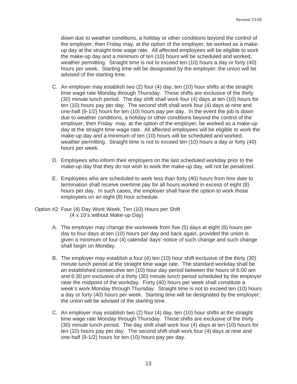down due to weather conditions, a holiday or other conditions beyond the control of the employer, then Friday may, at the option of the employer, be worked as a makeup day at the straight time wage rate. All affected employees will be eligible to work the make-up day and a minimum of ten (10) hours will be scheduled and worked, weather permitting. Straight time is not to exceed ten (10) hours a day or forty (40) hours per week. Starting time will be designated by the employer; the union will be advised of the starting time.

- C. An employer may establish two (2) four (4) day, ten (10) hour shifts at the straight time wage rate Monday through Thursday. These shifts are exclusive of the thirty (30) minute lunch period. The day shift shall work four (4) days at ten (10) hours for ten (10) hours pay per day. The second shift shall work four (4) days at nine and one-half (9-1/2) hours for ten (10) hours pay per day. In the event the job is down due to weather conditions, a holiday or other conditions beyond the control of the employer, then Friday may, at the option of the employer, be worked as a make-up day at the straight time wage rate. All affected employees will be eligible to work the make-up day and a minimum of ten (10) hours will be scheduled and worked, weather permitting. Straight time is not to exceed ten (10) hours a day or forty (40) hours per week.
- D. Employees who inform their employers on the last scheduled workday prior to the make-up day that they do not wish to work the make-up day, will not be penalized.
- E. Employees who are scheduled to work less than forty (40) hours from hire date to termination shall receive overtime pay for all hours worked in excess of eight (8) hours per day. In such cases, the employer shall have the option to work those employees on an eight (8) hour schedule.
- Option #2: Four (4) Day Work Week, Ten (10) Hours per Shift (4 x 10's without Make-up Day)
	- A. The employer may change the workweek from five (5) days at eight (8) hours per day to four days at ten (10) hours per day and back again, provided the union is given a minimum of four (4) calendar days' notice of such change and such change shall begin on Monday.
	- B. The employer may establish a four (4) ten (10) hour shift exclusive of the thirty (30) minute lunch period at the straight time wage rate. The standard workday shall be an established consecutive ten (10) hour day period between the hours of 6:00 am and 6:30 pm exclusive of a thirty (30) minute lunch period scheduled by the employer near the midpoint of the workday. Forty (40) hours per week shall constitute a week's work Monday through Thursday. Straight time is not to exceed ten (10) hours a day or forty (40) hours per week. Starting time will be designated by the employer; the union will be advised of the starting time.
	- C. An employer may establish two (2) four (4) day, ten (10) hour shifts at the straight time wage rate Monday through Thursday. These shifts are exclusive of the thirty (30) minute lunch period. The day shift shall work four (4) days at ten (10) hours for ten (10) hours pay per day. The second shift shall work four (4) days at nine and one-half (9-1/2) hours for ten (10) hours pay per day.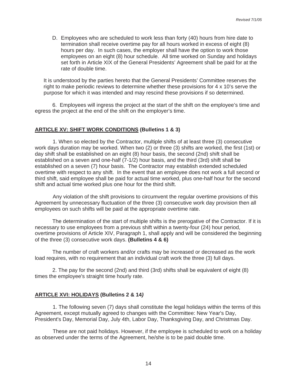D. Employees who are scheduled to work less than forty (40) hours from hire date to termination shall receive overtime pay for all hours worked in excess of eight (8) hours per day. In such cases, the employer shall have the option to work those employees on an eight (8) hour schedule. All time worked on Sunday and holidays set forth in Article XIX of the General Presidents' Agreement shall be paid for at the rate of double time.

It is understood by the parties hereto that the General Presidents' Committee reserves the right to make periodic reviews to determine whether these provisions for 4 x 10's serve the purpose for which it was intended and may rescind these provisions if so determined.

6. Employees will ingress the project at the start of the shift on the employee's time and egress the project at the end of the shift on the employer's time.

## **ARTICLE XV: SHIFT WORK CONDITIONS (Bulletins 1 & 3)**

1. When so elected by the Contractor, multiple shifts of at least three (3) consecutive work days duration may be worked. When two (2) or three (3) shifts are worked, the first (1st) or day shift shall be established on an eight (8) hour basis, the second (2nd) shift shall be established on a seven and one-half (7-1/2) hour basis, and the third (3rd) shift shall be established on a seven (7) hour basis. The Contractor may establish extended scheduled overtime with respect to any shift. In the event that an employee does not work a full second or third shift, said employee shall be paid for actual time worked, plus one-half hour for the second shift and actual time worked plus one hour for the third shift.

Any violation of the shift provisions to circumvent the regular overtime provisions of this Agreement by unnecessary fluctuation of the three (3) consecutive work day provision then all employees on such shifts will be paid at the appropriate overtime rate.

The determination of the start of multiple shifts is the prerogative of the Contractor. If it is necessary to use employees from a previous shift within a twenty-four (24) hour period, overtime provisions of Article XIV, Paragraph 1, shall apply and will be considered the beginning of the three (3) consecutive work days. **(Bulletins 4 & 6)**

The number of craft workers and/or crafts may be increased or decreased as the work load requires, with no requirement that an individual craft work the three (3) full days.

2. The pay for the second (2nd) and third (3rd) shifts shall be equivalent of eight (8) times the employee's straight time hourly rate.

#### **ARTICLE XVI: HOLIDAYS (Bulletins 2 & 14***)*

1. The following seven (7) days shall constitute the legal holidays within the terms of this Agreement, except mutually agreed to changes with the Committee: New Year's Day, President's Day, Memorial Day, July 4th, Labor Day, Thanksgiving Day, and Christmas Day.

These are not paid holidays. However, if the employee is scheduled to work on a holiday as observed under the terms of the Agreement, he/she is to be paid double time.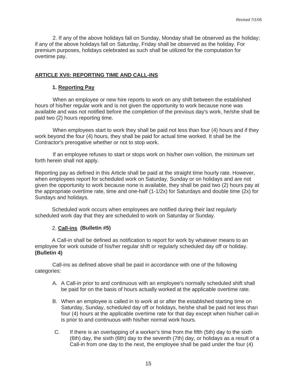2. If any of the above holidays fall on Sunday, Monday shall be observed as the holiday; if any of the above holidays fall on Saturday, Friday shall be observed as the holiday. For premium purposes, holidays celebrated as such shall be utilized for the computation for overtime pay.

# **ARTICLE XVII: REPORTING TIME AND CALL-INS**

## **1. Reporting Pay**

When an employee or new hire reports to work on any shift between the established hours of his/her regular work and is not given the opportunity to work because none was available and was not notified before the completion of the previous day's work, he/she shall be paid two (2) hours reporting time.

When employees start to work they shall be paid not less than four (4) hours and if they work beyond the four (4) hours, they shall be paid for actual time worked. It shall be the Contractor's prerogative whether or not to stop work.

If an employee refuses to start or stops work on his/her own volition, the minimum set forth herein shall not apply.

Reporting pay as defined in this Article shall be paid at the straight time hourly rate. However, when employees report for scheduled work on Saturday, Sunday or on holidays and are not given the opportunity to work because none is available, they shall be paid two (2) hours pay at the appropriate overtime rate, time and one-half  $(1-1/2x)$  for Saturdays and double time  $(2x)$  for Sundays and holidays.

Scheduled work occurs when employees are notified during their last regularly scheduled work day that they are scheduled to work on Saturday or Sunday.

# 2. **Call-ins (Bulletin #5)**

A Call-in shall be defined as notification to report for work by whatever means to an employee for work outside of his/her regular shift or regularly scheduled day off or holiday. **(Bulletin 4)** 

Call-ins as defined above shall be paid in accordance with one of the following categories:

- A. A Call-in prior to and continuous with an employee's normally scheduled shift shall be paid for on the basis of hours actually worked at the applicable overtime rate.
- B. When an employee is called in to work at or after the established starting time on Saturday, Sunday, scheduled day off or holidays, he/she shall be paid not less than four (4) hours at the applicable overtime rate for that day except when his/her call-in is prior to and continuous with his/her normal work hours.
- C. If there is an overlapping of a worker's time from the fifth (5th) day to the sixth (6th) day, the sixth (6th) day to the seventh (7th) day, or holidays as a result of a Call-in from one day to the next, the employee shall be paid under the four (4)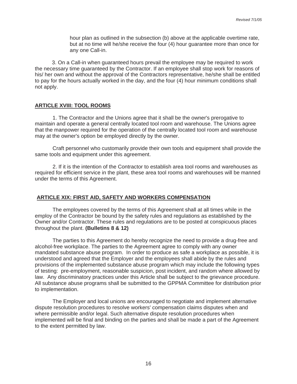hour plan as outlined in the subsection (b) above at the applicable overtime rate, but at no time will he/she receive the four (4) hour guarantee more than once for any one Call-in.

3. On a Call-in when guaranteed hours prevail the employee may be required to work the necessary time guaranteed by the Contractor. If an employee shall stop work for reasons of his/ her own and without the approval of the Contractors representative, he/she shall be entitled to pay for the hours actually worked in the day, and the four (4) hour minimum conditions shall not apply.

## **ARTICLE XVIII: TOOL ROOMS**

1. The Contractor and the Unions agree that it shall be the owner's prerogative to maintain and operate a general centrally located tool room and warehouse. The Unions agree that the manpower required for the operation of the centrally located tool room and warehouse may at the owner's option be employed directly by the owner.

Craft personnel who customarily provide their own tools and equipment shall provide the same tools and equipment under this agreement.

2. If it is the intention of the Contractor to establish area tool rooms and warehouses as required for efficient service in the plant, these area tool rooms and warehouses will be manned under the terms of this Agreement.

# **ARTICLE XIX: FIRST AID, SAFETY AND WORKERS COMPENSATION**

The employees covered by the terms of this Agreement shall at all times while in the employ of the Contractor be bound by the safety rules and regulations as established by the Owner and/or Contractor. These rules and regulations are to be posted at conspicuous places throughout the plant. **(Bulletins 8 & 12)** 

The parties to this Agreement do hereby recognize the need to provide a drug-free and alcohol-free workplace. The parties to the Agreement agree to comply with any owner mandated substance abuse program. In order to produce as safe a workplace as possible, it is understood and agreed that the Employer and the employees shall abide by the rules and provisions of the implemented substance abuse program which may include the following types of testing: pre-employment, reasonable suspicion, post incident, and random where allowed by law. Any discriminatory practices under this Article shall be subject to the grievance procedure. All substance abuse programs shall be submitted to the GPPMA Committee for distribution prior to implementation.

The Employer and local unions are encouraged to negotiate and implement alternative dispute resolution procedures to resolve workers' compensation claims disputes when and where permissible and/or legal. Such alternative dispute resolution procedures when implemented will be final and binding on the parties and shall be made a part of the Agreement to the extent permitted by law.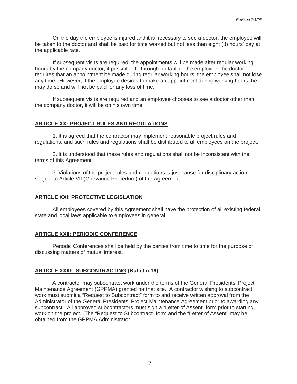On the day the employee is injured and it is necessary to see a doctor, the employee will be taken to the doctor and shall be paid for time worked but not less than eight (8) hours' pay at the applicable rate.

If subsequent visits are required, the appointments will be made after regular working hours by the company doctor, if possible. If, through no fault of the employee, the doctor requires that an appointment be made during regular working hours, the employee shall not lose any time. However, if the employee desires to make an appointment during working hours, he may do so and will not be paid for any loss of time.

If subsequent visits are required and an employee chooses to see a doctor other than the company doctor, it will be on his own time.

## **ARTICLE XX: PROJECT RULES AND REGULATIONS**

1. It is agreed that the contractor may implement reasonable project rules and regulations, and such rules and regulations shall be distributed to all employees on the project.

2. It is understood that these rules and regulations shall not be inconsistent with the terms of this Agreement.

3. Violations of the project rules and regulations is just cause for disciplinary action subject to Article VII (Grievance Procedure) of the Agreement.

#### **ARTICLE XXI: PROTECTIVE LEGISLATION**

All employees covered by this Agreement shall have the protection of all existing federal, state and local laws applicable to employees in general.

## **ARTICLE XXII: PERIODIC CONFERENCE**

Periodic Conferences shall be held by the parties from time to time for the purpose of discussing matters of mutual interest.

#### **ARTICLE XXIII: SUBCONTRACTING (Bulletin 19)**

 A contractor may subcontract work under the terms of the General Presidents' Project Maintenance Agreement (GPPMA) granted for that site. A contractor wishing to subcontract work must submit a "Request to Subcontract" form to and receive written approval from the Administrator of the General Presidents' Project Maintenance Agreement prior to awarding any subcontract. All approved subcontractors must sign a "Letter of Assent" form prior to starting work on the project. The "Request to Subcontract" form and the "Letter of Assent" may be obtained from the GPPMA Administrator.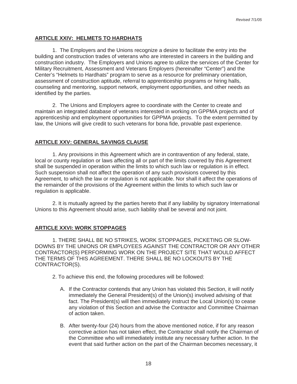## **ARTICLE XXIV: HELMETS TO HARDHATS**

1. The Employers and the Unions recognize a desire to facilitate the entry into the building and construction trades of veterans who are interested in careers in the building and construction industry. The Employers and Unions agree to utilize the services of the Center for Military Recruitment, Assessment and Veterans Employers (hereinafter "Center") and the Center's "Helmets to Hardhats" program to serve as a resource for preliminary orientation, assessment of construction aptitude, referral to apprenticeship programs or hiring halls, counseling and mentoring, support network, employment opportunities, and other needs as identified by the parties.

2. The Unions and Employers agree to coordinate with the Center to create and maintain an integrated database of veterans interested in working on GPPMA projects and of apprenticeship and employment opportunities for GPPMA projects. To the extent permitted by law, the Unions will give credit to such veterans for bona fide, provable past experience.

## **ARTICLE XXV: GENERAL SAVINGS CLAUSE**

1. Any provisions in this Agreement which are in contravention of any federal, state, local or county regulation or laws affecting all or part of the limits covered by this Agreement shall be suspended in operation within the limits to which such law or regulation is in effect. Such suspension shall not affect the operation of any such provisions covered by this Agreement, to which the law or regulation is not applicable. Nor shall it affect the operations of the remainder of the provisions of the Agreement within the limits to which such law or regulation is applicable.

2. It is mutually agreed by the parties hereto that if any liability by signatory International Unions to this Agreement should arise, such liability shall be several and not joint.

#### **ARTICLE XXVI: WORK STOPPAGES**

1. THERE SHALL BE NO STRIKES, WORK STOPPAGES, PICKETING OR SLOW-DOWNS BY THE UNIONS OR EMPLOYEES AGAINST THE CONTRACTOR OR ANY OTHER CONTRACTOR(S) PERFORMING WORK ON THE PROJECT SITE THAT WOULD AFFECT THE TERMS OF THIS AGREEMENT. THERE SHALL BE NO LOCKOUTS BY THE CONTRACTOR(S).

- 2. To achieve this end, the following procedures will be followed:
	- A. If the Contractor contends that any Union has violated this Section, it will notify immediately the General President(s) of the Union(s) involved advising of that fact. The President(s) will then immediately instruct the Local Union(s) to cease any violation of this Section and advise the Contractor and Committee Chairman of action taken.
	- B. After twenty-four (24) hours from the above mentioned notice, if for any reason corrective action has not taken effect, the Contractor shall notify the Chairman of the Committee who will immediately institute any necessary further action. In the event that said further action on the part of the Chairman becomes necessary, it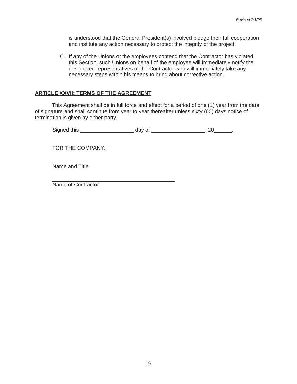is understood that the General President(s) involved pledge their full cooperation and institute any action necessary to protect the integrity of the project.

C. If any of the Unions or the employees contend that the Contractor has violated this Section, such Unions on behalf of the employee will immediately notify the designated representatives of the Contractor who will immediately take any necessary steps within his means to bring about corrective action.

# **ARTICLE XXVII: TERMS OF THE AGREEMENT**

This Agreement shall be in full force and effect for a period of one (1) year from the date of signature and shall continue from year to year thereafter unless sixty (60) days notice of termination is given by either party.

| Signed this <u>superstanding</u> | day of | 20 |
|----------------------------------|--------|----|
| FOR THE COMPANY:                 |        |    |
| Name and Title                   |        |    |
| Name of Contractor               |        |    |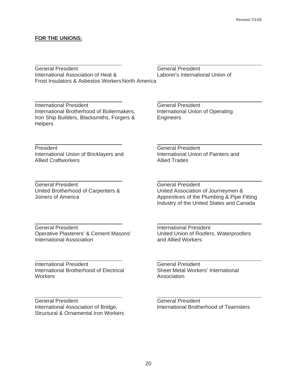#### **FOR THE UNIONS:**

General President Ceneral President International Association of Heat & Laborer's International Union of Frost Insulators & Asbestos Workers North America

International President Channel Ceneral President International Brotherhood of Boilermakers, International Union of Operating Iron Ship Builders, Blacksmiths, Forgers & Engineers **Helpers** 

**President** General President

Allied Craftworkers **Allied Trades** 

International Union of Bricklayers and International Union of Painters and

General President Ceneral President

United Brotherhood of Carpenters & United Association of Journeymen & Joiners of America **Apprentices** of the Plumbing & Pipe Fitting Industry of the United States and Canada

General President **International President** Operative Plasterers' & Cement Masons' United Union of Roofers, Waterproofers International Association and Allied Workers

International President<br>
International Brotherhood of Electrical<br>
Sheet Metal Workers' International International Brotherhood of Electrical Workers **Association Association** 

General President<br>
International Association of Bridge,<br>
International Brothe Structural & Ornamental Iron Workers

International Brotherhood of Teamsters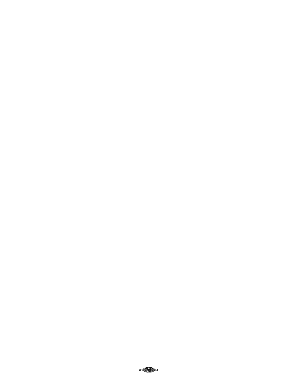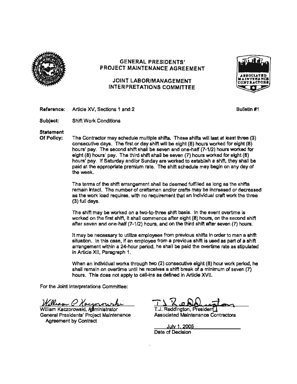

# JOINT LABOR/MANAGEMENT **INTERPRETATIONS COMMITTEE**



Reference: Article XV, Sections 1 and 2

Bulletin #1

Sublect: **Shift Work Conditions** 

## **Statement**

Of Policy:

The Contractor may schedule multiple shifts. These shifts will last at least three (3) consecutive days. The first or day shift will be eight (8) hours worked for eight (8) hours' pay. The second shift shall be seven and one-half (7-1/2) hours worked for eight (8) hours' pay. The third shift shall be seven (7) hours worked for eight (8) hours' pay. If Saturday and/or Sunday are worked to establish a shift, they shall be paid at the appropriate premium rate. The shift schedule may begin on any day of the week.

The terms of the shift arrangement shall be deemed fulfilled as long as the shifts remain intact. The number of craftsmen and/or crafts may be increased or decreased as the work load requires, with no requirement that an individual craft work the three  $(3)$  full days.

The shift may be worked on a two-to-three shift basis. In the event overtime is worked on the first shift, it shall commence after eight (8) hours, on the second shift after seven and one-half (7-1/2) hours, and on the third shift after seven (7) hours.

It may be necessary to utilize employees from previous shifts in order to man a shift situation. In this case, if an employee from a previous shift is used as part of a shift arrangement within a 24-hour period, he shall be paid the overtime rate as stipulated in Article XII, Paragraph 1.

When an individual works through two (2) consecutive eight (8) hour work period, he shall remain on overtime until he receives a shift break of a minimum of seven (7) hours. This does not apply to call-ins as defined in Article XVII.

For the Joint Interpretations Committee:

William C Kaymour

William Kaczorowski, Administrator General Presidents' Project Maintenance **Agreement by Contract** 

T.J. Reddington, President

**Associated Maintenance Contractors**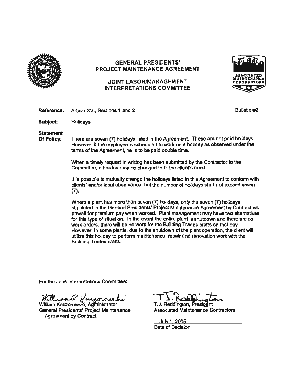

# JOINT LABOR/MANAGEMENT INTERPRETATIONS COMMITTEE



Article XVI. Sections 1 and 2 Rafarence:

Bulletin #2

**Holidavs Sublect** 

#### **Statement**

Of Policy:

There are seven (7) holidays listed in the Agreement. These are not paid holidays. However, if the employee is scheduled to work on a holiday as observed under the terms of the Agreement, he is to be paid double time.

When a timely request in writing has been submitted by the Contractor to the Committee, a holiday may be changed to fit the client's need.

It is possible to mutually change the holidays listed in this Agreement to conform with clients' and/or local observance, but the number of holidays shall not exceed seven  $(T)$ .

Where a plant has more than seven (7) holidays, only the seven (7) holidays stipulated in the General Presidents' Project Maintenance Agreement by Contract will prevall for premium pay when worked. Plant management may have two alternatives for this type of situation. In the event the entire plant is shutdown and there are no work orders, there will be no work for the Building Trades crafts on that day. However, in some plants, due to the shutdown of the plant operation, the client will utilize this holiday to perform maintenance, repair and renovation work with the Building Trades crafts.

For the Joint Interpretations Committee:

William Kaczorowski, Administrator **General Presidents' Project Maintenance Agreement by Contract** 

T.J. Reddington, President **Associated Maintenance Contractors**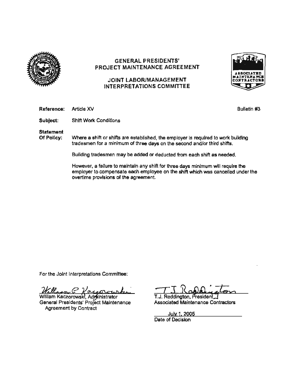

# JOINT LABOR/MANAGEMENT INTERPRETATIONS COMMITTEE



Article XV Reference:

Subject: **Shift Work Conditions** 

**Statement** 

Of Policy: Where a shift or shifts are established, the employer is required to work building tradesmen for a minimum of three days on the second and/or third shifts.

Building tradesmen may be added or deducted from each shift as needed.

However, a failure to maintain any shift for three days minimum will require the employer to compensate each employee on the shift which was cancelled under the overtime provisions of the agreement.

For the Joint Interpretations Committee:

William & Nacion

William Kaczorowski, Administrator General Presidents' Project Maintenance Agreement by Contract

T.J. Reddington, President **Associated Maintenance Contractors** 

July 1, 2005 Date of Decision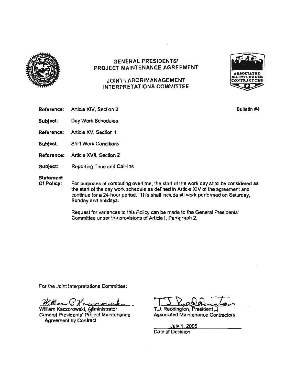

# JOINT LABOR/MANAGEMENT INTERPRETATIONS COMMITTEE



Subject: Day Work Schedules

Reference: Article XV, Section 1

**Shift Work Conditions Subject:** 

Reference: Article XVII, Section 2

Sublect: Reporting Time and Call-Ins

**Statement** 

Of Policy: For purposes of computing overtime, the start of the work day shall be considered as the start of the day work schedule as defined in Article XIV of the agreement and continue for a 24-hour period. This shall include all work performed on Saturday, Sunday and holidays.

> Request for variances to this Policy can be made to the General Presidents' Committee under the provisions of Article I. Paragraph 2.

For the Joint Interpretations Committee:

William 8 Kongrows

William Kaczorowski, Administrator<br>General Presidents' Project Maintenance **Agreement by Contract** 

T.J. Reddington, President **Associated Maintenance Contractors** 

July 1, 2005 Date of Decision

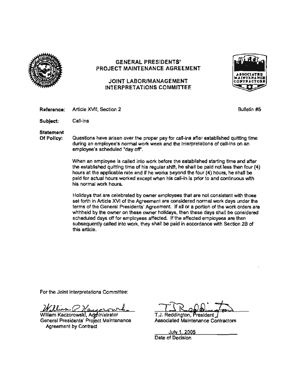

# JOINT LABOR/MANAGEMENT INTERPRETATIONS COMMITTEE



Reference: Article XVII, Section 2

Subject: **Call-ins** 

## **Statement**

Of Policy:

Questions have arisen over the proper pay for call-ins after established quitting time during an employee's normal work week and the interpretations of call-ins on an employee's scheduled "day off".

When an employee is called into work before the established starting time and after the established quitting time of his regular shift, he shall be paid not less than four (4) hours at the applicable rate and if he works beyond the four (4) hours, he shall be paid for actual hours worked except when his call-in is prior to and continuous with his normal work hours.

Holidays that are celebrated by owner employees that are not consistent with those set forth in Article XVI of the Agreement are considered normal work days under the terms of the General Presidents' Agreement. If all or a portion of the work orders are withheld by the owner on these owner holidays, then these days shall be considered scheduled days off for employees affected. If the affected employees are then subsequently called into work, they shall be paid in accordance with Section 2B of this article.

For the Joint Interpretations Committee:

William Kaczorowski, Administrator<br>General Presidents' Project Maintenance **Agreement by Contract** 

T.J. Reddington, President **Associated Maintenance Contractors** 

July 1, 2005 Date of Decision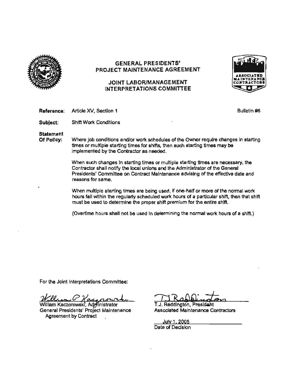

# JOINT LABOR/MANAGEMENT INTERPRETATIONS COMMITTEE



Reference: Article XV, Section 1

Sublect: **Shift Work Conditions** 

**Statement** 

Of Policy: Where job conditions and/or work schedules of the Owner require changes in starting times or multiple starting times for shifts, then such starting times may be implemented by the Contractor as needed.

> When such changes in starting times or multiple starting times are necessary, the Contractor shall notify the local unlons and the Administrator of the General Presidents' Committee on Contract Maintenance advising of the effective date and reasons for same.

When multiple starting times are being used, if one-half or more of the normal work hours fall within the regularly scheduled work hours of a particular shift, then that shift must be used to determine the proper shift premium for the entire shift.

(Overtime hours shall not be used in determining the normal work hours of a shift.)

For the Joint Interpretations Committee:

William Kaczorowski, Administrator General Presidents' Project Maintenance **Agreement by Contract** 

T.J. Reddington, President **Associated Maintenance Contractors** 

July 1, 2005 Date of Decision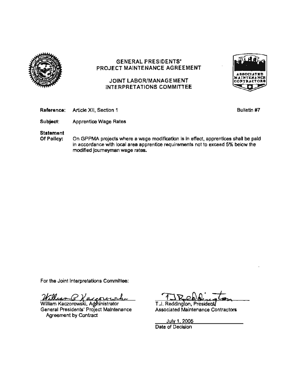

# JOINT LABOR/MANAGEMENT INTERPRETATIONS COMMITTEE



Article XII, Section 1 Reference:

Subject: **Apprentice Wage Rates** 

- **Statement**
- Of Policy: On GPPMA projects where a wage modification is in effect, apprentices shall be paid in accordance with local area apprentice requirements not to exceed 5% below the modified journeyman wage rates.

For the Joint Interpretations Committee:

P Vacco

William Kaczorowski, Administrator General Presidents' Project Maintenance **Agreement by Contract** 

T.J. Reddington, President **Associated Maintenance Contractors** 

July 1, 2005 Date of Decision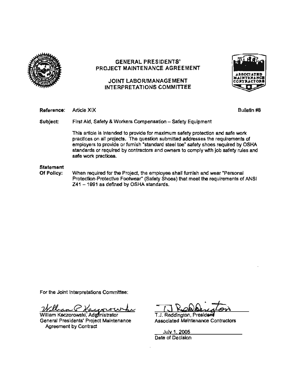

# JOINT LABOR/MANAGEMENT INTERPRETATIONS COMMITTEE



**Article XIX** Reference:

**Bulletin #8** 

Subject: First Ald, Safety & Workers Compensation - Safety Equipment

> This article is intended to provide for maximum safety protection and safe work practices on all projects. The question submitted addresses the requirements of employers to provide or furnish "standard steel toe" safety shoes required by OSHA standards or required by contractors and owners to comply with job safety rules and safe work practices.

# **Statement**

When required for the Project, the employee shall furnish and wear "Personal Of Policy: Protection-Protective Footwear" (Safety Shoes) that meet the requirements of ANSI Z41 - 1991 as defined by OSHA standards.

For the Joint Interpretations Committee:

William Kaczorowski, Adginistrator General Presidents' Project Maintenance **Agreement by Contract** 

T.J. Reddington, President **Associated Maintenance Contractors**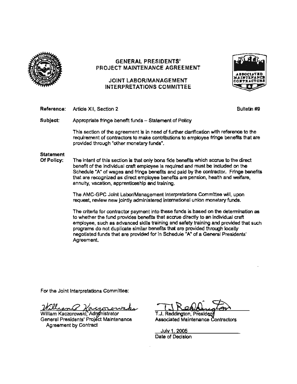

# JOINT LABOR/MANAGEMENT INTERPRETATIONS COMMITTEE



Reference: Article XII, Section 2

Bulletin #9

Subject: Appropriate fringe benefit funds - Statement of Policy

> This section of the agreement is in need of further clarification with reference to the requirement of contractors to make contributions to employee fringe benefits that are provided through "other monetary funds".

# **Statement**

Of Policy: The intent of this section is that only bona fide benefits which accrue to the direct benefit of the individual craft employee is required and must be included on the Schedule "A" of wages and fringe benefits and paid by the contractor. Fringe benefits that are recognized as direct employee benefits are pension, health and welfare, annuity, vacation, apprenticeship and training.

> The AMC-GPC Joint Labor/Management Interpretations Committee will, upon request, review new jointly administered international union monetary funds.

The criteria for contractor payment into these funds is based on the determination as to whether the fund provides benefits that accrue directly to an individual craft employee, such as advanced skills training and safety training and provided that such programs do not duplicate similar benefits that are provided through locally negotiated funds that are provided for in Schedule "A" of a General Presidents' Agreement,

For the Joint Interpretations Committee:

William Kaczorowski, Adryfnistrator General Presidents' Project Maintenance **Agreement by Contract** 

T.J. Reddington, President **Associated Maintenance Contractors**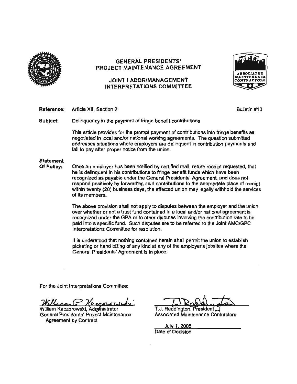

# JOINT LABOR/MANAGEMENT **INTERPRETATIONS COMMITTEE**



Reference: Article XII. Section 2

Bulletin #10

Subject: Delinguency in the payment of fringe benefit contributions

> This article provides for the prompt payment of contributions into fringe benefits as negotiated in local and/or national working agreements. The question submitted addresses situations where employers are delinquent in contribution payments and fail to pay after proper notice from the union.

# **Statement**

Of Policy: Once an employer has been notified by certified mail, return receipt requested, that he is delinquent in his contributions to fringe benefit funds which have been recognized as payable under the General Presidents' Agreement, and does not respond positively by forwarding said contributions to the appropriate place of receipt within twenty (20) business days, the affected union may legally withhold the services of its members.

> The above provision shall not apply to disputes between the employer and the union over whether or not a trust fund contained in a local and/or national agreement is recognized under the GPA or to other disputes involving the contribution rate to be paid into a specific fund. Such disputes are to be referred to the Joint AMC/GPC Interpretations Committee for resolution.

It is understood that nothing contained herein shall permit the union to establish picketing or hand billing of any kind at any of the employer's jobsites where the General Presidents' Agreement is in place.

For the Joint Interpretations Committee:

William P Hagnoris

William Kaczorowski, Administrator General Presidents' Project Maintenance **Agreement by Contract** 

T.J. Reddington, President **Associated Maintenance Contractors**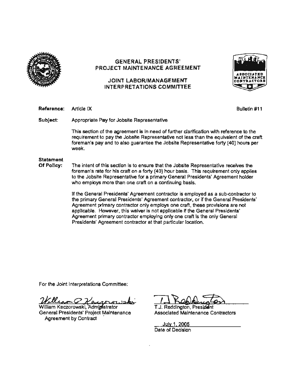

# JOINT LABOR/MANAGEMENT INTERPRETATIONS COMMITTEE



Reference: Article IX

Bulletin #11

Subject: Appropriate Pay for Jobsite Representative

> This section of the agreement is in need of further clarification with reference to the requirement to pay the Jobsite Representative not less than the equivalent of the craft foreman's pay and to also quarantee the Jobsite Representative forty (40) hours per week.

# **Statement**

Of Policy: The intent of this section is to ensure that the Jobsite Representative receives the foreman's rate for his craft on a forty (40) hour basis. This requirement only applies to the Jobsite Representative for a primary General Presidents' Agreement holder who employs more than one craft on a continuing basis.

> If the General Presidents' Agreement contractor is employed as a sub-contractor to the primary General Presidents' Agreement contractor, or if the General Presidents' Agreement primary contractor only employs one craft, these provisions are not applicable. However, this waiver is not applicable if the General Presidents' Agreement primary contractor employing only one craft is the only General Presidents' Agreement contractor at that particular location.

For the Joint Interpretations Committee:

William C Kaupman

General Presidents' Project Maintenance **Agreement by Contract** 

T.J. Reddington, President **Associated Maintenance Contractors**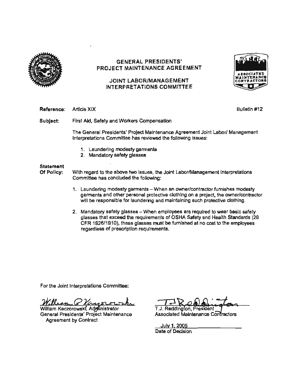

# JOINT LABOR/MANAGEMENT **INTERPRETATIONS COMMITTEE**



**Article XIX** Reference:

Bulletin #12

Subject: First Ald, Safety and Workers Compensation

> The General Presidents' Project Maintenance Agreement Joint Labor/ Management Interpretations Committee has reviewed the following issues:

- 1. Laundering modesty garments
- 2. Mandatory safety glasses

# **Statement**

Of Policy:

With regard to the above two issues, the Joint Labor/Management Interpretations Committee has concluded the following:

- 1. Laundering modesty garments When an owner/contractor furnishes modesty garments and other personal protective clothing on a project, the owner/contractor will be responsible for laundering and maintaining such protective clothing.
- 2. Mandatory safety glasses When employees are required to wear basic safety glasses that exceed the requirements of OSHA Safety and Health Standards (29 CFR 1926/1910), these glasses must be furnished at no cost to the employees regardless of prescription requirements.

For the Joint Interpretations Committee:

Rear & Kayoro

William Kaczorowski, Administrator General Presidents' Project Maintenance **Agreement by Contract** 

T.J. Reddington, President

Associated Maintenance Contractors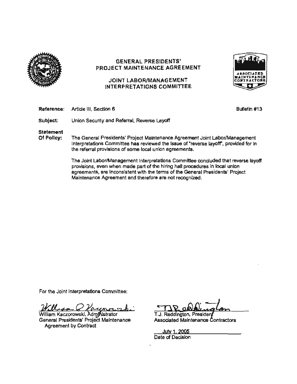

# JOINT LABOR/MANAGEMENT **INTERPRETATIONS COMMITTEE**



Reference: Article III, Section 6

Bulletin #13

Subject: Union Security and Referral, Reverse Layoff

**Statement** 

Of Policy: The General Presidents' Project Maintenance Agreement Joint Labor/Management Interpretations Committee has reviewed the issue of "reverse layoff", provided for In the referral provisions of some local union agreements.

> The Joint Labor/Management Interpretations Committee concluded that reverse layoff provisions, even when made part of the hiring hall procedures in local union agreements, are inconsistent with the terms of the General Presidents' Project Maintenance Agreement and therefore are not recognized.

For the Joint Interpretations Committee:

William Kaczorowski, Administrator General Presidents' Project Maintenance **Agreement by Contract** 

T.J. Reddington, President Associated Maintenance Contractors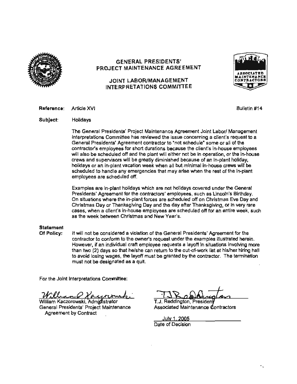

# JOINT LABOR/MANAGEMENT INTERPRETATIONS COMMITTEE



Reference: **Article XVI** 

Bulletin #14

#### Subject: **Holidavs**

The General Presidents' Project Maintenance Agreement Joint Labor/ Management Interpretations Committee has reviewed the issue concerning a client's request to a General Presidents' Agreement contractor to "not schedule" some or all of the contractor's employees for short durations because the client's in-house employees will also be scheduled off and the plant will either not be in operation, or the in-house crews and supervisors will be greatly diminished because of an in-plant holiday. holidays or an in-plant vacation week when all but minimal in-house crews will be scheduled to handle any emergencies that may arise when the rest of the in-plant employees are scheduled off.

Examples are in-plant holidays which are not holidays covered under the General Presidents' Agreement for the contractors' employees, such as Lincoln's Birthday. On situations where the in-plant forces are scheduled off on Christmas Eve Day and Christmas Day or Thanksgiving Day and the day after Thanksgiving, or in very rare cases, when a client's in-house employees are scheduled off for an entire week, such as the week between Christmas and New Year's.

#### **Statement**

Of Policy:

It will not be considered a violation of the General Presidents' Agreement for the contractor to conform to the owner's request under the examples illustrated herein. However, if an individual craft employee requests a layoff in situations involving more than two (2) days so that he/she can return to the out-of-work list at his/her hiring hall to avoid losing wages, the lavoff must be granted by the contractor. The termination must not be designated as a guit.

For the Joint Interpretations Committee:

Chan Prayon

William Kaczorowski, Admidistrator General Presidents' Project Maintenance **Agreement by Contract** 

T.J. Reddington, Presiden Associated Maintenance Contractors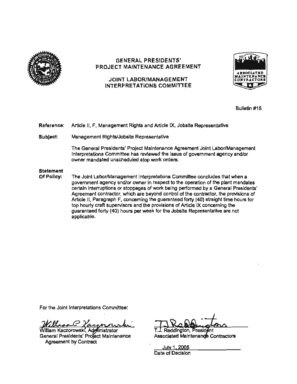

# JOINT LABOR/MANAGEMENT INTERPRETATIONS COMMITTEE



Bulletin #15

#### Reference: Article II, F. Management Rights and Article IX, Jobsite Representative

#### Subject: Management Rights/Jobsite Representative

The General Presidents' Project Maintenance Agreement Joint Labor/Management Interpretations Committee has reviewed the issue of government agency and/or owner mandated unscheduled stop work orders.

#### **Statement**

Of Policy: The Joint Labor/Management Interpretations Committee concludes that when a government agency and/or owner in respect to the operation of the plant mandates certain interruptions or stoppages of work being performed by a General Presidents' Agreement contractor, which are beyond control of the contractor, the provisions of Article II. Paragraph F. concerning the quaranteed forty (40) straight time hours for top hourly craft supervisors and the provisions of Article IX concerning the guaranteed forty (40) hours per week for the Jobsite Representative are not applicable.

For the Joint Interpretations Committee:

William Kaczorowski, Administrator General Presidents' Project Maintenance **Agreement by Contract** 

T.J. Reddington, Presid int. **Associated Maintenange Contractors**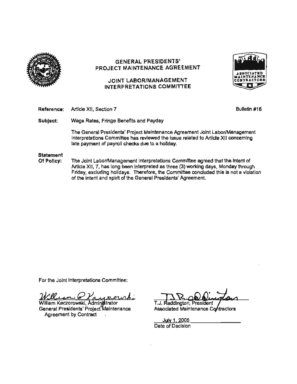

# JOINT LABOR/MANAGEMENT INTERPRETATIONS COMMITTEE



Article XII, Section 7 Reference:

Wage Rates, Fringe Benefits and Payday Subject:

> The General Presidents' Project Maintenance Agreement Joint Labor/Management Interpretations Committee has reviewed the issue related to Article XII concerning late payment of payroll checks due to a holiday.

#### **Statement**

Of Pollcy: The Joint Labor/Management Interpretations Committee agreed that the intent of Article XII, 7, has long been interpreted as three (3) working days, Monday through Friday, excluding holidays. Therefore, the Committee concluded this is not a violation of the intent and spirit of the General Presidents' Agreement.

For the Joint Interpretations Committee:

William Kaczorowski, Admin**i**śtrator General Presidents' Project Maintenance **Agreement by Contract** 

T.J. Reddington, President

Associated Maintenance Contractors

July 1, 2005 Date of Decision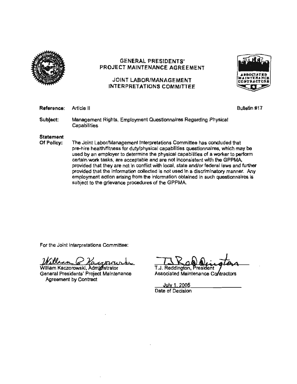

# JOINT LABOR/MANAGEMENT INTERPRETATIONS COMMITTEE



Reference: Article II Bulletin #17

Subject: Management Rights, Employment Questionnaires Regarding Physical **Capabilities** 

# **Statement**

Of Policy: The Joint Labor/Management Interpretations Committee has concluded that pre-hire health/fitness for duty/physical capabilities questionnalres, which may be used by an employer to determine the physical capabilities of a worker to perform certain work tasks, are acceptable and are not inconsistent with the GPPMA. provided that they are not in conflict with local, state and/or federal laws and further provided that the information collected is not used in a discriminatory manner. Any employment action arising from the information obtained in such questionnaires is subject to the grievance procedures of the GPPMA.

For the Joint Interpretations Committee:

Ellian & Kauper

William Kaczorowski, Administrator General Presidents' Project Maintenance **Agreement by Contract** 

T.J. Reddington, President

**Associated Maintenance Contractors** 

**July 1, 2005** Date of Decision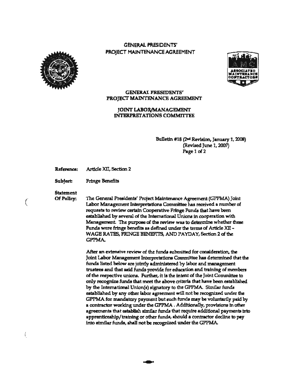



#### **GENERAL PRESIDENTS'** PROJECT MAINTENANCE AGREEMENT

**JOINT LABOR/MANAGEMENT INTERPRETATIONS COMMITTEE** 

> Bulletin #18 (2<sup>nd</sup> Revision, January 1, 2008) (Revised June 1, 2007) Page 1 of 2

Reference: Article XII, Section 2

**Fringe Benefits Subject:** 

**Statement** Of Policy:

The General Presidents' Project Maintenance Agreement (GPPMA) Joint Labor Management Interpretations Committee has received a number of requests to review certain Cooperative Fringe Funds that have been established by several of the International Unions in cooperation with Management. The purpose of the review was to determine whether these Funds were fringe benefits as defined under the terms of Article XII ~ WAGE RATES, FRINGE BENEFITS, AND PAYDAY, Section 2 of the **GPPMA.** 

After an extensive review of the funds submitted for consideration, the Joint Labor Management Interpretations Committee has determined that the funds listed below are jointly administered by labor and management trustees and that said funds provide for education and training of members of the respective unions. Further, it is the intent of the Joint Committee to only recognize funds that meet the above criteria that have been established by the International Union(s) signatory to the GPPMA. Similar funds established by any other labor agreement will not be recognized under the GPPMA for mandatory payment but such funds may be voluntarily paid by a contractor working under the GPPMA. Additionally, provisions in other agreements that establish similar funds that require additional payments into apprenticeship/training or other funds, should a contractor decline to pay into similar funds, shall not be recognized under the GPFMA.

ί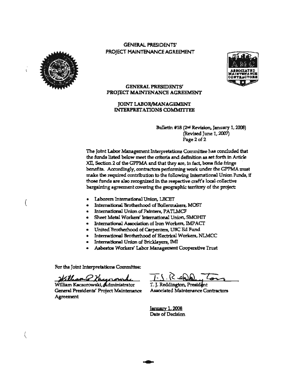

 $\mathfrak{t}$ 

# **GENERAL PRESIDENTS'** PROJECT MAINTENANCE AGREEMENT



#### **GENERAL PRESIDENTS'** PROJECT MAINTENANCE AGREEMENT

#### **JOINT LABOR/MANAGEMENT INTERPRETATIONS COMMITTEE**

Bulletin #18 (2nd Revision, January 1, 2008) (Revised June 1, 2007) Page 2 of 2

The Joint Labor Management Interpretations Committee has concluded that the funds listed below meet the criteria and definition as set forth in Article XII, Section 2 of the GPPMA and that they are, in fact, bona fide fringe benefits. Accordingly, contractors performing work under the GPPMA must make the required contribution to the following International Union Funds, if those funds are also recognized in the respective craft's local collective bargaining agreement covering the geographic territory of the project:

- Laborers International Union, LECET  $\bullet$
- International Brotherhood of Boilermakers, MOST
- International Union of Painters, PATLMCF
- Sheet Metal Workers' International Union, SMOHIT
- International Association of Iron Workers, IMPACT  $\bullet$
- United Brotherhood of Carpenters, UBC Ed Fund
- International Brotherhood of Electrical Workers, NLMCC
- International Union of Bricklayers, IMI
- Asbestos Workers' Labor Management Cooperative Trust

For the Joint Interpretations Committee:

William Kaczorowski, Administrator General Presidents' Project Maintenance Agreement

T. J. Reddington, President Associated Maintenance Contractors

January 1, 2008 Date of Decision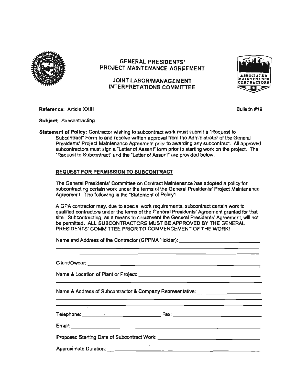

# **JOINT LABOR/MANAGEMENT INTERPRETATIONS COMMITTEE**



Reference: Article XXIII

Bulletin #19

Subject: Subcontracting

Statement of Policy: Contractor wishing to subcontract work must submit a "Request to Subcontract" Form to and receive written approval from the Administrator of the General Presidents' Project Maintenance Agreement prior to awarding any subcontract. All approved subcontractors must sign a "Letter of Assent" form prior to starting work on the project. The "Request to Subcontract" and the "Letter of Assent" are provided below.

# REQUEST FOR PERMISSION TO SUBCONTRACT

The General Presidents' Committee on Contract Maintenance has adopted a policy for subcontracting certain work under the terms of the General Presidents' Project Maintenance Agreement. The following is the "Statement of Policy":

A GPA contractor may, due to special work requirements, subcontract certain work to qualified contractors under the terms of the General Presidents' Agreement granted for that site. Subcontracting, as a means to circumvent the General Presidents' Agreement, will not be permitted. ALL SUBCONTRACTORS MUST BE APPROVED BY THE GENERAL PRESIDENTS' COMMITTEE PRIOR TO COMMENCEMENT OF THE WORK!

Name and Address of the Contractor (GPPMA Holder):

| <u> 1989 - Andrea Santa Alemania, amerikana amerikana amerikana amerikana amerikana amerikana amerikana amerikana</u> |                                                                                                                                                                                                                                                                                                                                                                    |
|-----------------------------------------------------------------------------------------------------------------------|--------------------------------------------------------------------------------------------------------------------------------------------------------------------------------------------------------------------------------------------------------------------------------------------------------------------------------------------------------------------|
|                                                                                                                       |                                                                                                                                                                                                                                                                                                                                                                    |
|                                                                                                                       |                                                                                                                                                                                                                                                                                                                                                                    |
| Name & Address of Subcontractor & Company Representative: ______________________                                      | <u>and</u> the contract of the contract of the contract of the contract of the contract of the contract of the contract of<br><u> Andreas Andreas Andreas Andreas Andreas Andreas Andreas Andreas Andreas Andreas Andreas Andreas Andreas Andreas Andreas Andreas Andreas Andreas Andreas Andreas Andreas Andreas Andreas Andreas Andreas Andreas Andreas Andr</u> |
|                                                                                                                       |                                                                                                                                                                                                                                                                                                                                                                    |
|                                                                                                                       |                                                                                                                                                                                                                                                                                                                                                                    |
|                                                                                                                       |                                                                                                                                                                                                                                                                                                                                                                    |
|                                                                                                                       |                                                                                                                                                                                                                                                                                                                                                                    |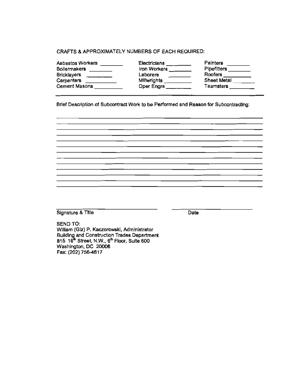# CRAFTS & APPROXIMATELY NUMBERS OF EACH REQUIRED:

| <b>Asbestos Workers</b> | <b>Electricians</b> | Painters           |
|-------------------------|---------------------|--------------------|
| <b>Boilermakers</b>     | Iron Workers        | <b>Pipefitters</b> |
| <b>Bricklayers</b>      | Laborers            | Roofers            |
| Carpenters              | Millwrights         | <b>Sheet Metal</b> |
| <b>Cement Masons</b>    | <b>Oper Engrs</b>   | <b>Teamsters</b>   |

Brief Description of Subcontract Work to be Performed and Reason for Subcontracting:

Signature & Title

**Date** 

**SEND TO:** William (Giz) P. Kaczorowski, Administrator Building and Construction Trades Department<br>815 16<sup>th</sup> Street, N.W., 6<sup>th</sup> Floor, Suite 600 Washington, DC 20006 Fax: (202) 756-4617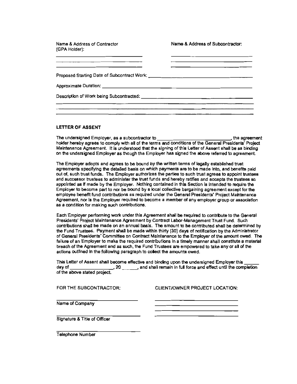| Name & Address of Contractor |  |
|------------------------------|--|
| (GPA Holder):                |  |

Name & Address of Subcontractor:

#### **LETTER OF ASSENT**

The undersigned Employer, as a subcontractor to , the agreement holder hereby agrees to comply with all of the terms and conditions of the General Presidents' Project Maintenance Agreement. It is understood that the signing of this Letter of Assent shall be as binding on the undersigned Employer as though the Employer has signed the above referred to agreement.

The Employer adopts and agrees to be bound by the written terms of legally established trust agreements specifying the detailed basis on which payments are to be made into, and benefits paid out of, such trust funds. The Employer authorizes the parties to such trust agrees to appoint trustees and successor trustees to administer the trust funds and hereby ratifies and accepts the trustees so appointed as if made by the Employer. Nothing contained in this Section is intended to require the Employer to become part to nor be bound by a local collective bargaining agreement except for the employee benefit fund contributions as required under the General Presidents' Project Maintenance Agreement, nor is the Employer required to become a member of any employer group or association as a condition for making such contributions.

Each Employer performing work under this Agreement shall be required to contribute to the General Presidents' Project Maintenance Agreement by Contract Labor-Management Trust Fund. Such contributions shall be made on an annual basis. The amount to be contributed shall be determined by the Fund Trustees. Payment shall be made within thirty (30) days of notification by the Administrator of General Presidents' Committee on Contract Maintenance to the Employer of the amount owed. The failure of an Employer to make the required contributions in a timely manner shall constitute a material breach of the Agreement and as such, the Fund Trustees are empowered to take any or all of the actions outlined in the following paragraph to collect the amounts owed.

This Letter of Assent shall become effective and binding upon the undersigned Employer this 20 and shall remain in full force and effect until the completion day of of the above stated project.

FOR THE SUBCONTRACTOR:

CLIENT/OWNER PROJECT LOCATION:

Name of Company

Signature & Title of Officer

Telephone Number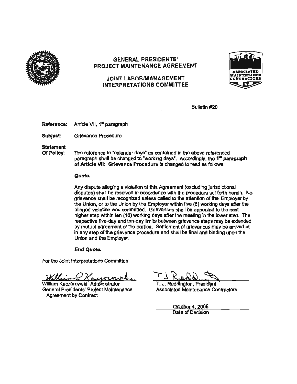

# JOINT I AROR/MANAGEMENT **INTERPRETATIONS COMMITTEE**



Bulletin #20

Reference: Article VII, 1<sup>"</sup> paragraph

Sublect: Grievance Procedure

**Statement** 

Of Policy: The reference to "calendar days" as contained in the above referenced paragraph shall be changed to "working days". Accordingly, the 1<sup>=</sup> paragraph of Article VII: Grievance Procedure is changed to read as follows:

#### Quote.

Any dispute alleging a violation of this Agreement (excluding jurisdictional disputes) shall be resolved in accordance with the procedure set forth herein. No grievance shall be recognized unless called to the attention of the Employer by the Union, or to the Union by the Employer within five (5) working days after the alleged violation was committed. Grievances shall be appealed to the next higher step within ten (10) working days after the meeting in the lower step. The respective five-day and ten-day limits between grievance steps may be extended by mutual agreement of the parties. Settlement of grievances may be arrived at in any step of the grievance procedure and shall be final and binding upon the Union and the Employer.

**End Quote.** 

For the Joint Interpretations Committee:

William Kaczorowski, Administrator General Presidents' Project Maintenance **Agreement by Contract** 

J. Reddinaton, President **Associated Maintenance Contractors** 

October 4, 2005 Date of Decision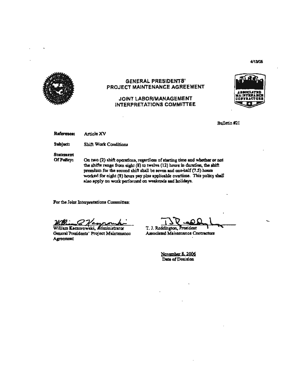

#### JOINT LABOR/MANAGEMENT INTERPRETATIONS COMMITTEE



4/13/05

Bulletin #21

**Reference:** Article XV

Subject: **Shift Wark Conditions** 

**Statement** Of Policy:

On two (2) shift operations, regardless of starting time and whether or not the shifts range from eight (8) to twelve (12) hours in duration, the shift premium for the second shift shall be seven and one-half  $(7.5)$  hours worked for eight (8) hours pay plus applicable overtime. This policy shall also apply on work performed on weekends and holidays.

For the Joint Interpretations Cummittee:

William C Namponduk

General Presidents' Project Maintenance Agreement

T. J. Reddington, Fresident

**Associated Maintenance Contracture** 

November 8, 2006 Date of Decision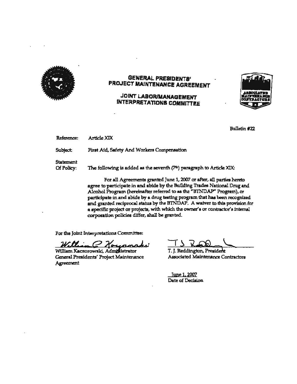

# JOINT LABOR/MANAGEMENT **INTERPRETATIONS COMMITTEE**



Bulletin #22

Reference: Article XIX

First Aid, Safety And Workers Compensation Subject:

Statement Of Policy:

The following is added as the seventh (7th) paragraph to Article XIX:

For all Agreements granted June 1, 2007 or after, all parties hereto agree to participate in and abide by the Building Trades National Drug and Alcohol Program (hereinafter referred to as the "BTNDAP" Program), or participate in and abide by a drug testing program that has been recognized and granted reciprocal status by the BTNDAF. A waiver to this provision for a specific project or projects, with which the owner's or contractor's internal corporation policies differ, shall be granted.

For the Joint Interpretations Committee:

Within

William Kaczorowski, Admidistrator General Presidents' Project Maintenance Agreement

T. J. Reddington, President Associated Maintenance Contractors

Tune 1, 2007 Date of Decision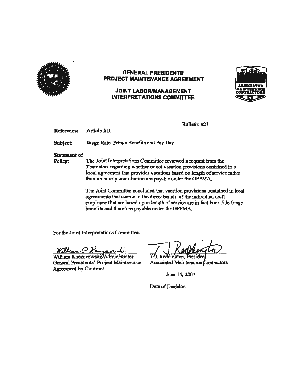

## **JOINT LABOR/MANAGEMENT INTERPRETATIONS COMMITTEE**



Bulletin #23

Article XII Reference:

Subject: Wage Rate, Fringe Benefits and Pay Day

#### **Statement of**

Policy:

The Joint Interpretations Committee reviewed a request from the Teamsters regarding whether or not vacation provisions contained in a local agreement that provides vacations based on length of service rather than an hourly contribution are payable under the GPPMA.

The Joint Committee concluded that vacation provisions contained in local agreements that accrue to the direct benefit of the individual craft employee that are based upon length of service are in fact bona fide fringe benefits and therefore payable under the GPPMA.

For the Joint Interpretations Committee:

William C Kaysouch'

General Presidents' Project Maintenance **Agreement by Contract** 

T.J. Reddington, Presiden Associated Maintenance Contractors

June 14, 2007

Date of Decision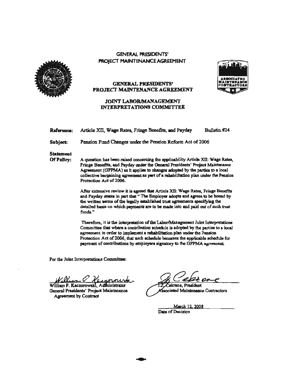

# **CENERAL PRESIDENTS'** PROJECT MAINTENANCE AGREEMENT

#### JOINT LABORMANAGEMENT **INTERPRETATIONS COMMITTEE**



#### Article XII, Wage Rates, Fringe Benefits, and Payday Bulletin #24 Reference:

Subject: Pension Fund Changes under the Pension Reform Act of 2006

**Statement** Of Policy:

A question has been raised concerning the applicability Article XII: Wage Rates, Fringe Benefits, and Psyday under the General Presidents' Project Maintenance Agreement (GPPMA) as it applies to changes adopted by the parties to a local collective bargaining agreement as part of a rehabilitation plan under the Pension Protection Act of 2006

After extensive review it is agreed that Article XII: Wage Rates, Fringe Benefits and Payday states in part that "The Employer adopts and agrees to be bound by the written terms of the legally established trust agreements specifying the detailed basis on which payments are to be made into and paid out of such trust funds."

Therefore, it is the interpretation of the Labor/Management Joint Interpretations Committee that where a contribution schedule is adopted by the parties to a local agreement in order to implement a rehabilitation plan under the Pension Protection Act of 2006, that such schedule becomes the applicable schedule for payment of contributions by employers signatory to the GPPMA agreement.

For the Joint Interpretations Committee:

William P. Kaczorowski, Administrator General Presidents' Project Maintenance Agreement by Contract

akrane, President

Ssociated Maintenance Contractors

March 12, 2008 Date of Decision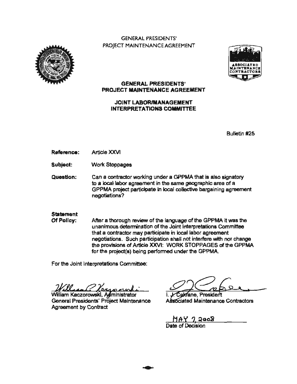



# **GENERAL PRESIDENTS'** PROJECT MAINTENANCE AGREEMENT

JOINT LABOR/MANAGEMENT INTERPRETATIONS COMMITTEE

**Bulletin #25** 

#### **Article XXVI** Reference:

Subject: **Work Stoppages** 

Question: Can a contractor working under a GPPMA that is also signatory to a local labor agreement in the same geographic area of a GPPMA project participate in local collective bargaining agreement negotiations?

# **Statement**

Of Policy: After a thorough review of the language of the GPPMA it was the unanimous determination of the Joint Interpretations Committee that a contractor may participate in local labor agreement negotiations. Such participation shall not interfere with nor change the provisions of Article XXVI: WORK STOPPAGES of the GPPMA for the project(s) being performed under the GPPMA.

For the Joint Interpretations Committee:

Korso

William Kaczorowski, Administrator General Presidents' Project Maintenance **Agreement by Contract** 

I. J. Cakrane, President **Associated Maintenance Contractors** 

 $MAP$  2.2008

Date of Decision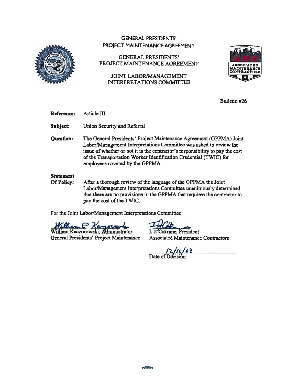

# **GENERAL PRESIDENTS'** PROJECT MAINTENANCE AGREEMENT

# JOINT LABOR/MANAGEMENT INTERPRETATIONS COMMITTEE



Bulletin #26

- Reference: Article III
- Subject: Union Security and Referral
- **Ouestion:** The General Presidents' Project Maintenance Agreement (GPPMA) Joint Labor/Management Interpretations Committee was asked to review the issue of whether or not it is the contractor's responsibility to pay the cost of the Transportation Worker Identification Credential (TWIC) for employees covered by the GPPMA.

# **Statement**

Of Policy: After a thorough review of the language of the GPPMA the Joint Labor/Management Interpretations Committee unanimously determined that there are no provisions in the GPPMA that requires the contractor to pay the cost of the TWIC.

For the Joint Labor/Management Interpretations Committee:

William & Kayocouch

William Kaczorowski, Administrator General Presidents' Project Maintenance

akrane, President **Associated Maintenance Contractors** 

 $\frac{12/10/88}{\text{Date of Decision}}$